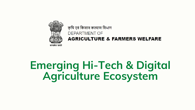# Emerging Hi-Tech & Digital Agriculture Ecosystem



### कृषि एवं किसान कल्याण विभाग DEPARTMENT OF **AGRICULTURE & FARMERS WELFARE**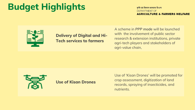Delivery of Digital and Hi-Tech services to farmers

A scheme in *PPP mode* will be launched with the involvement of public sector research & extension institutions, private agri-tech players and stakeholders of agri-value chain,



Use of Kisan Drones

कृषि एवं किसान कल्याण विभाग DEPARTMENT OF **AGRICULTURE & FARMERS WELFARE** 

Use of 'Kisan Drones' will be promoted for crop assessment, digitization of land records, spraying of insecticides, and nutrients.

# Budget Highlights

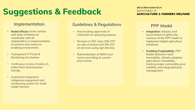### Implementation

# Suggestions & Feedback

#### Guidelines & Regulations

- Fast tracking approvals of chemicals for spraying purpose
- Revision in GST rates (5% GST on sale of drones and 0% GST on services using agri drones).
- Rationalization of MIDH cost norms according to current price norms

#### कृषि एवं किसान कल्याण विभाग **DEPARTMENT OF AGRICULTURE & FARMERS WELFARE**

- Nodal officers at the central and state ministries to coordinate with all stakeholders in implementation of scheme and create an enabling environment.
- Transparent IT Portal & Monitoring of schemes
- Continuous review of policy to make them business/user friendly
- Investment required in indigenous equipment and miniaturing system for small holder farmers

#### PPP Model

- Integration: Industry and Government to define the nuances of the PPP model to implement digital agriculture initiatives.
- Enabling Predictability: PPP Model desired in seed traceability, climate adoption agriculture, traceability, tracking major commodity price volatility and integrated pest management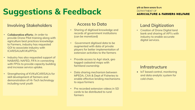# Suggestions & Feedback

#### Involving Stakeholders

- Sharing of digitised knowledge and records of government institutions (can be monetized)
- Government digitised data to be augmented with data of private players for better implementation of extension activities to the farmers
- Provide access to Agri stack, geo tagged cadastral maps with farmland ownership
- Data sharing mechanism between MPEDA, CAA & Dept of Fisheries to enable effective lending mechanisms to aqua formers
- Pre recorded extension videos in SD cards to be distributed to rural farmers

#### कृषि एवं किसान कल्याण विभाग **DEPARTMENT OF AGRICULTURE & FARMERS WELFARE**

### Access to Data **Land Digitization**

• IoT based control, monitoring and data analytic system for cold chain.

• Creation of Drone Digital land bank and sharing of API's with industry to enable accurate digital services.

#### **Infrastructure**

- Collaborative efforts ; In order to provide Drone Pilot training along with agriculture best practices knowledge to Farmers, industry has requested GOI to associate industry with ICAR/SAUs/KVKs/FPOs
- Industry has also requested support of NABARD, NAFED, FIFA in connecting with FPOs to provide capacity building and increase service uptake.
- Strengthening of KVKs/ICAR/SAUs for skill development of farmers and demonstration of Hi-Tech technology including rural youth